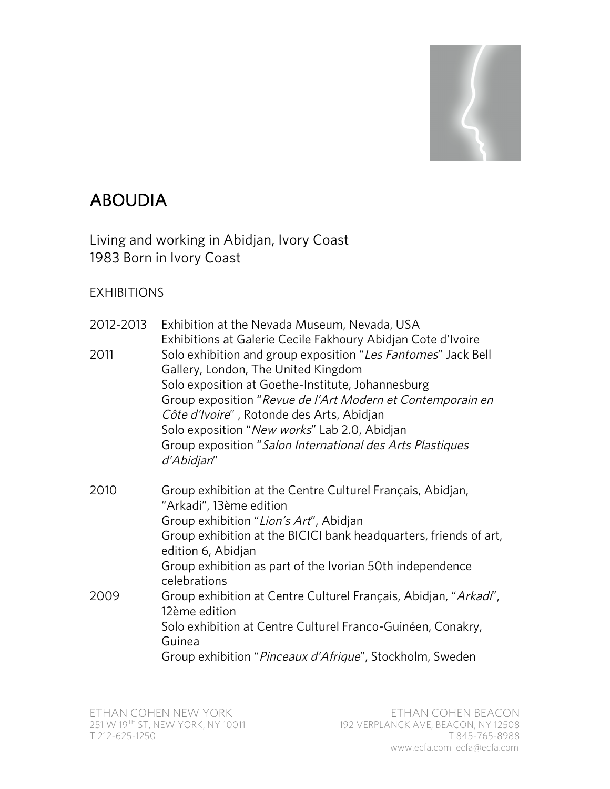## ABOUDIA

Living and working in Abidjan, Ivory Coast 1983 Born in Ivory Coast

## EXHIBITIONS

| 2012-2013 | Exhibition at the Nevada Museum, Nevada, USA                                                                                                                                                                                                                                                                                                                                         |
|-----------|--------------------------------------------------------------------------------------------------------------------------------------------------------------------------------------------------------------------------------------------------------------------------------------------------------------------------------------------------------------------------------------|
| 2011      | Exhibitions at Galerie Cecile Fakhoury Abidjan Cote d'Ivoire<br>Solo exhibition and group exposition "Les Fantomes" Jack Bell<br>Gallery, London, The United Kingdom<br>Solo exposition at Goethe-Institute, Johannesburg<br>Group exposition "Revue de l'Art Modern et Contemporain en<br>Côte d'Ivoire", Rotonde des Arts, Abidjan<br>Solo exposition "New works" Lab 2.0, Abidjan |
|           | Group exposition "Salon International des Arts Plastiques<br>d'Abidjan"                                                                                                                                                                                                                                                                                                              |
| 2010      | Group exhibition at the Centre Culturel Français, Abidjan,<br>"Arkadi", 13ème edition<br>Group exhibition "Lion's Art", Abidjan                                                                                                                                                                                                                                                      |
|           | Group exhibition at the BICICI bank headquarters, friends of art,<br>edition 6, Abidjan                                                                                                                                                                                                                                                                                              |
|           | Group exhibition as part of the Ivorian 50th independence<br>celebrations                                                                                                                                                                                                                                                                                                            |
| 2009      | Group exhibition at Centre Culturel Français, Abidjan, "Arkadi",<br>12ème edition                                                                                                                                                                                                                                                                                                    |
|           | Solo exhibition at Centre Culturel Franco-Guinéen, Conakry,<br>Guinea                                                                                                                                                                                                                                                                                                                |
|           | Group exhibition "Pinceaux d'Afrique", Stockholm, Sweden                                                                                                                                                                                                                                                                                                                             |
|           |                                                                                                                                                                                                                                                                                                                                                                                      |